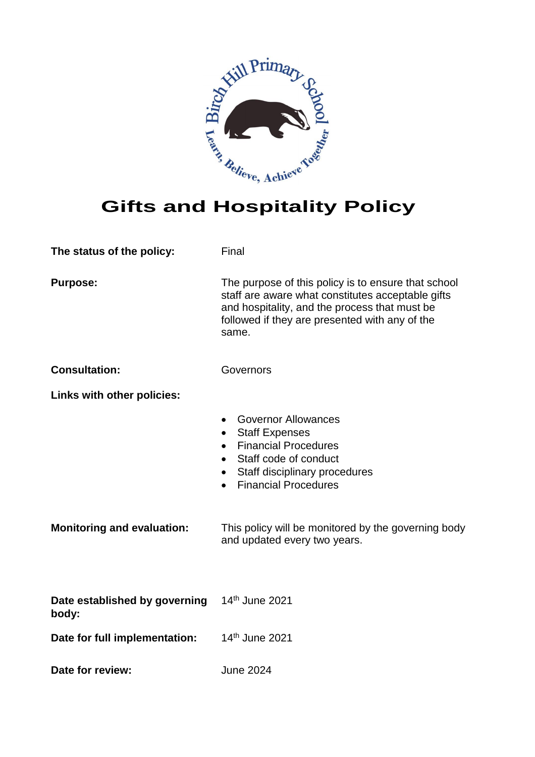

| The status of the policy:              | Final                                                                                                                                                                                                                |  |  |
|----------------------------------------|----------------------------------------------------------------------------------------------------------------------------------------------------------------------------------------------------------------------|--|--|
| <b>Purpose:</b>                        | The purpose of this policy is to ensure that school<br>staff are aware what constitutes acceptable gifts<br>and hospitality, and the process that must be<br>followed if they are presented with any of the<br>same. |  |  |
| <b>Consultation:</b>                   | Governors                                                                                                                                                                                                            |  |  |
| Links with other policies:             |                                                                                                                                                                                                                      |  |  |
|                                        | <b>Governor Allowances</b><br><b>Staff Expenses</b><br>$\bullet$<br><b>Financial Procedures</b><br>Staff code of conduct<br>$\bullet$<br>Staff disciplinary procedures<br>$\bullet$<br><b>Financial Procedures</b>   |  |  |
| <b>Monitoring and evaluation:</b>      | This policy will be monitored by the governing body<br>and updated every two years.                                                                                                                                  |  |  |
| Date established by governing<br>body: | 14th June 2021                                                                                                                                                                                                       |  |  |
| Date for full implementation:          | 14 <sup>th</sup> June 2021                                                                                                                                                                                           |  |  |

**Date for review:** June 2024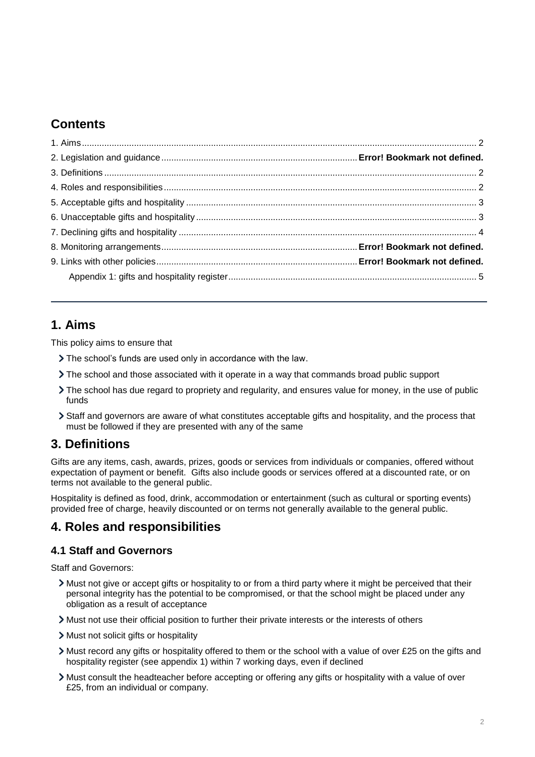## **Contents**

## <span id="page-1-0"></span>**1. Aims**

This policy aims to ensure that

- The school's funds are used only in accordance with the law.
- The school and those associated with it operate in a way that commands broad public support
- The school has due regard to propriety and regularity, and ensures value for money, in the use of public funds
- Staff and governors are aware of what constitutes acceptable gifts and hospitality, and the process that must be followed if they are presented with any of the same

## <span id="page-1-1"></span>**3. Definitions**

Gifts are any items, cash, awards, prizes, goods or services from individuals or companies, offered without expectation of payment or benefit. Gifts also include goods or services offered at a discounted rate, or on terms not available to the general public.

Hospitality is defined as food, drink, accommodation or entertainment (such as cultural or sporting events) provided free of charge, heavily discounted or on terms not generally available to the general public.

## <span id="page-1-2"></span>**4. Roles and responsibilities**

### **4.1 Staff and Governors**

Staff and Governors:

- Must not give or accept gifts or hospitality to or from a third party where it might be perceived that their personal integrity has the potential to be compromised, or that the school might be placed under any obligation as a result of acceptance
- Must not use their official position to further their private interests or the interests of others
- > Must not solicit gifts or hospitality
- Must record any gifts or hospitality offered to them or the school with a value of over £25 on the gifts and hospitality register (see appendix 1) within 7 working days, even if declined
- Must consult the headteacher before accepting or offering any gifts or hospitality with a value of over £25, from an individual or company.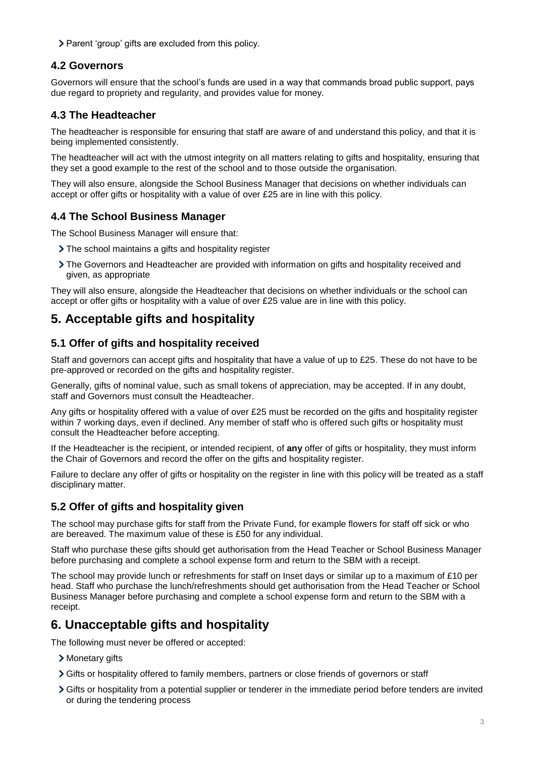> Parent 'group' gifts are excluded from this policy.

#### **4.2 Governors**

Governors will ensure that the school's funds are used in a way that commands broad public support, pays due regard to propriety and regularity, and provides value for money.

#### **4.3 The Headteacher**

The headteacher is responsible for ensuring that staff are aware of and understand this policy, and that it is being implemented consistently.

The headteacher will act with the utmost integrity on all matters relating to gifts and hospitality, ensuring that they set a good example to the rest of the school and to those outside the organisation.

They will also ensure, alongside the School Business Manager that decisions on whether individuals can accept or offer gifts or hospitality with a value of over £25 are in line with this policy.

#### **4.4 The School Business Manager**

The School Business Manager will ensure that:

- The school maintains a gifts and hospitality register
- The Governors and Headteacher are provided with information on gifts and hospitality received and given, as appropriate

They will also ensure, alongside the Headteacher that decisions on whether individuals or the school can accept or offer gifts or hospitality with a value of over £25 value are in line with this policy.

## <span id="page-2-0"></span>**5. Acceptable gifts and hospitality**

#### **5.1 Offer of gifts and hospitality received**

Staff and governors can accept gifts and hospitality that have a value of up to £25. These do not have to be pre-approved or recorded on the gifts and hospitality register.

Generally, gifts of nominal value, such as small tokens of appreciation, may be accepted. If in any doubt, staff and Governors must consult the Headteacher.

Any gifts or hospitality offered with a value of over £25 must be recorded on the gifts and hospitality register within 7 working days, even if declined. Any member of staff who is offered such gifts or hospitality must consult the Headteacher before accepting.

If the Headteacher is the recipient, or intended recipient, of **any** offer of gifts or hospitality, they must inform the Chair of Governors and record the offer on the gifts and hospitality register.

Failure to declare any offer of gifts or hospitality on the register in line with this policy will be treated as a staff disciplinary matter.

### **5.2 Offer of gifts and hospitality given**

The school may purchase gifts for staff from the Private Fund, for example flowers for staff off sick or who are bereaved. The maximum value of these is £50 for any individual.

Staff who purchase these gifts should get authorisation from the Head Teacher or School Business Manager before purchasing and complete a school expense form and return to the SBM with a receipt.

The school may provide lunch or refreshments for staff on Inset days or similar up to a maximum of £10 per head. Staff who purchase the lunch/refreshments should get authorisation from the Head Teacher or School Business Manager before purchasing and complete a school expense form and return to the SBM with a receipt.

## <span id="page-2-1"></span>**6. Unacceptable gifts and hospitality**

The following must never be offered or accepted:

- > Monetary gifts
- Gifts or hospitality offered to family members, partners or close friends of governors or staff
- Gifts or hospitality from a potential supplier or tenderer in the immediate period before tenders are invited or during the tendering process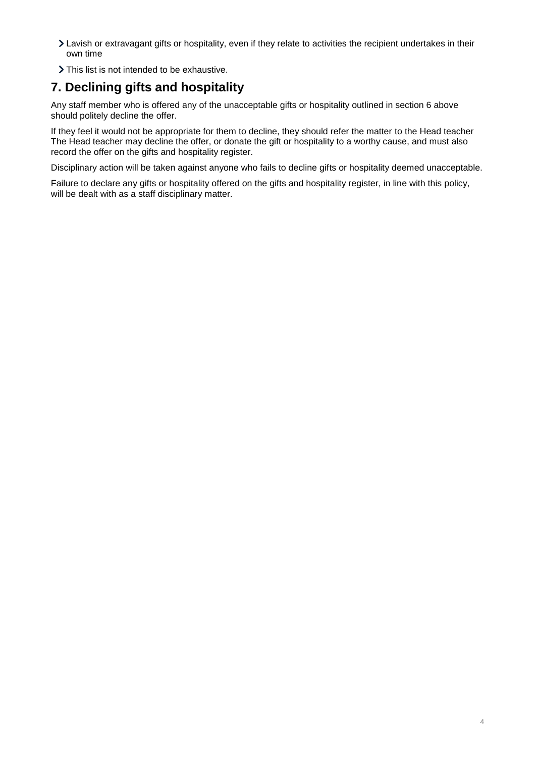- Lavish or extravagant gifts or hospitality, even if they relate to activities the recipient undertakes in their own time
- > This list is not intended to be exhaustive.

## <span id="page-3-0"></span>**7. Declining gifts and hospitality**

Any staff member who is offered any of the unacceptable gifts or hospitality outlined in section 6 above should politely decline the offer.

If they feel it would not be appropriate for them to decline, they should refer the matter to the Head teacher The Head teacher may decline the offer, or donate the gift or hospitality to a worthy cause, and must also record the offer on the gifts and hospitality register.

Disciplinary action will be taken against anyone who fails to decline gifts or hospitality deemed unacceptable.

Failure to declare any gifts or hospitality offered on the gifts and hospitality register, in line with this policy, will be dealt with as a staff disciplinary matter.